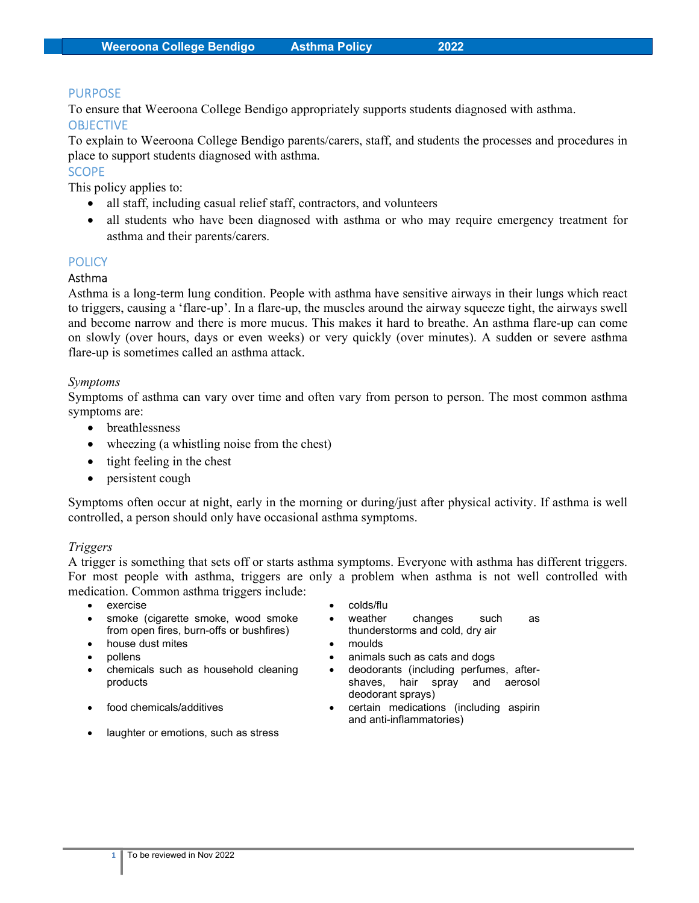#### PURPOSE

To ensure that Weeroona College Bendigo appropriately supports students diagnosed with asthma. **OBJECTIVE** 

To explain to Weeroona College Bendigo parents/carers, staff, and students the processes and procedures in place to support students diagnosed with asthma.

## **SCOPE**

This policy applies to:

- all staff, including casual relief staff, contractors, and volunteers
- all students who have been diagnosed with asthma or who may require emergency treatment for asthma and their parents/carers.

#### **POLICY**

#### Asthma

Asthma is a long-term lung condition. People with asthma have sensitive airways in their lungs which react to triggers, causing a 'flare-up'. In a flare-up, the muscles around the airway squeeze tight, the airways swell and become narrow and there is more mucus. This makes it hard to breathe. An asthma flare-up can come on slowly (over hours, days or even weeks) or very quickly (over minutes). A sudden or severe asthma flare-up is sometimes called an asthma attack.

#### Symptoms

Symptoms of asthma can vary over time and often vary from person to person. The most common asthma symptoms are:

- breathlessness
- wheezing (a whistling noise from the chest)
- $\bullet$  tight feeling in the chest
- persistent cough

Symptoms often occur at night, early in the morning or during/just after physical activity. If asthma is well controlled, a person should only have occasional asthma symptoms.

#### Triggers

A trigger is something that sets off or starts asthma symptoms. Everyone with asthma has different triggers. For most people with asthma, triggers are only a problem when asthma is not well controlled with medication. Common asthma triggers include:

- exercise colds/flu
- smoke (cigarette smoke, wood smoke from open fires, burn-offs or bushfires)
- house dust mites **and the set of the set of the set of the set of the set of the set of the set of the set of the set of the set of the set of the set of the set of the set of the set of the set of the set of the set of th**
- 
- chemicals such as household cleaning products
- 
- laughter or emotions, such as stress
- 
- weather changes such as thunderstorms and cold, dry air
- 
- pollens **blue animals** such as cats and dogs **animals** 
	- deodorants (including perfumes, aftershaves, hair spray and aerosol deodorant sprays)
- food chemicals/additives certain medications (including aspirin and anti-inflammatories)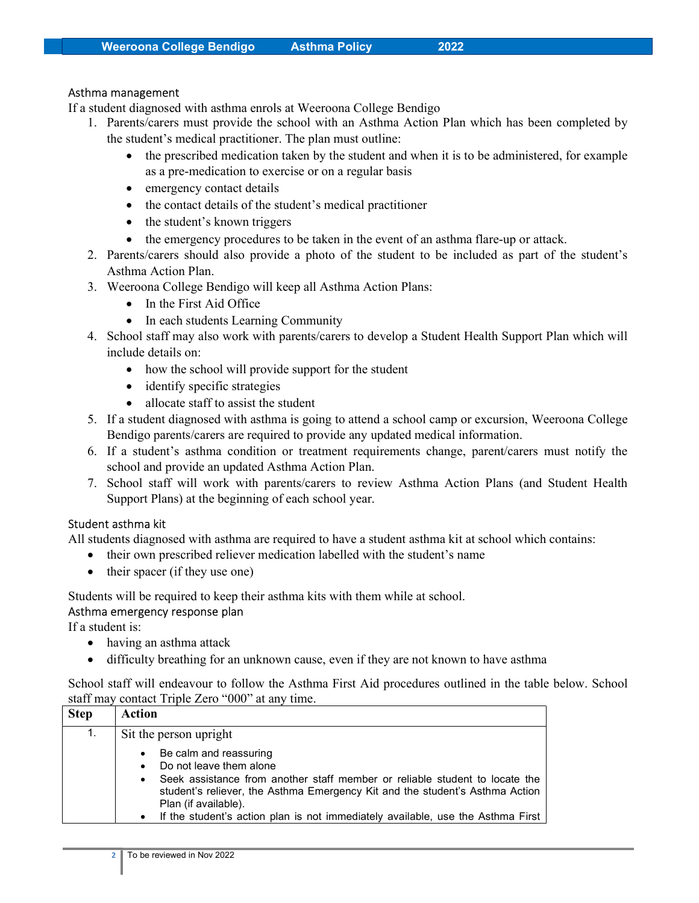#### Asthma management

If a student diagnosed with asthma enrols at Weeroona College Bendigo

- 1. Parents/carers must provide the school with an Asthma Action Plan which has been completed by the student's medical practitioner. The plan must outline:
	- the prescribed medication taken by the student and when it is to be administered, for example as a pre-medication to exercise or on a regular basis
	- emergency contact details
	- the contact details of the student's medical practitioner
	- the student's known triggers
	- the emergency procedures to be taken in the event of an asthma flare-up or attack.
- 2. Parents/carers should also provide a photo of the student to be included as part of the student's Asthma Action Plan.
- 3. Weeroona College Bendigo will keep all Asthma Action Plans:
	- In the First Aid Office
	- In each students Learning Community
- 4. School staff may also work with parents/carers to develop a Student Health Support Plan which will include details on:
	- how the school will provide support for the student
	- identify specific strategies
	- allocate staff to assist the student
- 5. If a student diagnosed with asthma is going to attend a school camp or excursion, Weeroona College Bendigo parents/carers are required to provide any updated medical information.
- 6. If a student's asthma condition or treatment requirements change, parent/carers must notify the school and provide an updated Asthma Action Plan.
- 7. School staff will work with parents/carers to review Asthma Action Plans (and Student Health Support Plans) at the beginning of each school year.

## Student asthma kit

All students diagnosed with asthma are required to have a student asthma kit at school which contains:

- their own prescribed reliever medication labelled with the student's name
- $\bullet$  their spacer (if they use one)

Students will be required to keep their asthma kits with them while at school.

## Asthma emergency response plan

If a student is:

- having an asthma attack
- difficulty breathing for an unknown cause, even if they are not known to have asthma

School staff will endeavour to follow the Asthma First Aid procedures outlined in the table below. School staff may contact Triple Zero "000" at any time.

| <b>Step</b> | Action                                                                                                                                                                                                                                                                                                                                   |
|-------------|------------------------------------------------------------------------------------------------------------------------------------------------------------------------------------------------------------------------------------------------------------------------------------------------------------------------------------------|
| 1.          | Sit the person upright                                                                                                                                                                                                                                                                                                                   |
|             | Be calm and reassuring<br>Do not leave them alone<br>Seek assistance from another staff member or reliable student to locate the<br>$\bullet$<br>student's reliever, the Asthma Emergency Kit and the student's Asthma Action<br>Plan (if available).<br>If the student's action plan is not immediately available, use the Asthma First |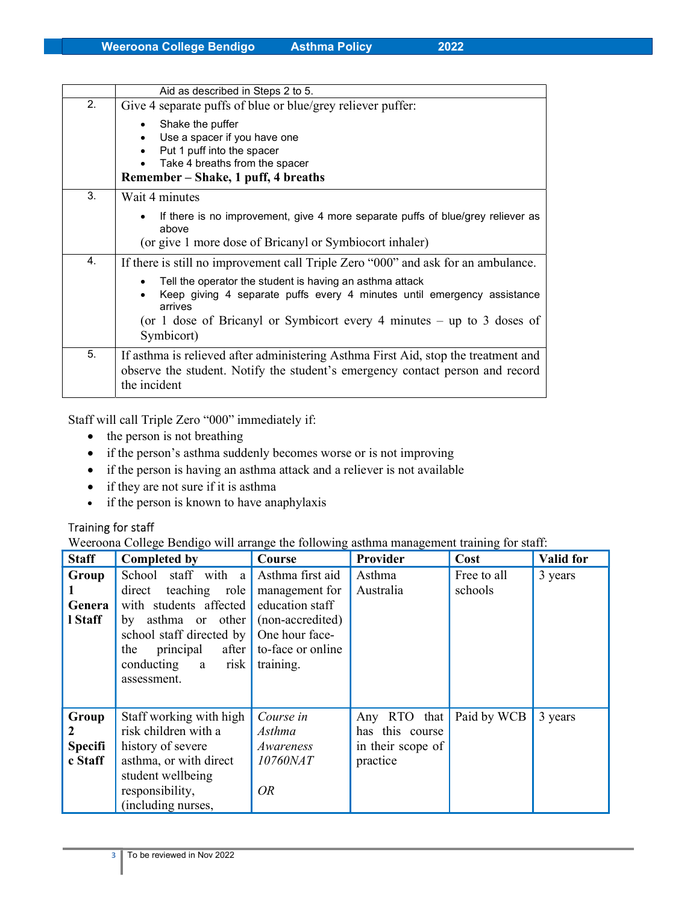|    | Aid as described in Steps 2 to 5.                                                                                                                                                                                                        |
|----|------------------------------------------------------------------------------------------------------------------------------------------------------------------------------------------------------------------------------------------|
| 2. | Give 4 separate puffs of blue or blue/grey reliever puffer:                                                                                                                                                                              |
|    | Shake the puffer<br>$\bullet$<br>Use a spacer if you have one<br>Put 1 puff into the spacer<br>$\bullet$<br>Take 4 breaths from the spacer<br>Remember – Shake, 1 puff, 4 breaths                                                        |
| 3. | Wait 4 minutes                                                                                                                                                                                                                           |
|    | If there is no improvement, give 4 more separate puffs of blue/grey reliever as<br>$\bullet$<br>above<br>(or give 1 more dose of Bricanyl or Symbiocort inhaler)                                                                         |
| 4. | If there is still no improvement call Triple Zero "000" and ask for an ambulance.                                                                                                                                                        |
|    | Tell the operator the student is having an asthma attack<br>Keep giving 4 separate puffs every 4 minutes until emergency assistance<br>arrives<br>(or 1 dose of Bricanyl or Symbicort every 4 minutes $-$ up to 3 doses of<br>Symbicort) |
| 5. | If asthma is relieved after administering Asthma First Aid, stop the treatment and<br>observe the student. Notify the student's emergency contact person and record<br>the incident                                                      |

Staff will call Triple Zero "000" immediately if:

- the person is not breathing
- if the person's asthma suddenly becomes worse or is not improving
- if the person is having an asthma attack and a reliever is not available
- if they are not sure if it is asthma
- if the person is known to have anaphylaxis

## Training for staff

Weeroona College Bendigo will arrange the following asthma management training for staff:

| <b>Staff</b>                            | <b>Completed by</b>                                                                                                                                                                                       | Course                                                                                                                        | Provider                                                            | Cost                   | <b>Valid for</b> |
|-----------------------------------------|-----------------------------------------------------------------------------------------------------------------------------------------------------------------------------------------------------------|-------------------------------------------------------------------------------------------------------------------------------|---------------------------------------------------------------------|------------------------|------------------|
| Group<br>Genera<br>I Staff              | staff with a<br>School<br>teaching<br>direct<br>role<br>with students affected<br>by asthma or other<br>school staff directed by<br>principal<br>after<br>the<br>risk  <br>conducting<br>a<br>assessment. | Asthma first aid<br>management for<br>education staff<br>(non-accredited)<br>One hour face-<br>to-face or online<br>training. | Asthma<br>Australia                                                 | Free to all<br>schools | 3 years          |
| Group<br>2<br><b>Specifi</b><br>c Staff | Staff working with high<br>risk children with a<br>history of severe<br>asthma, or with direct<br>student wellbeing<br>responsibility,<br>(including nurses,                                              | Course in<br>Asthma<br>Awareness<br>10760NAT<br><b>OR</b>                                                                     | that<br>Any RTO<br>has this course<br>in their scope of<br>practice | Paid by WCB            | 3 years          |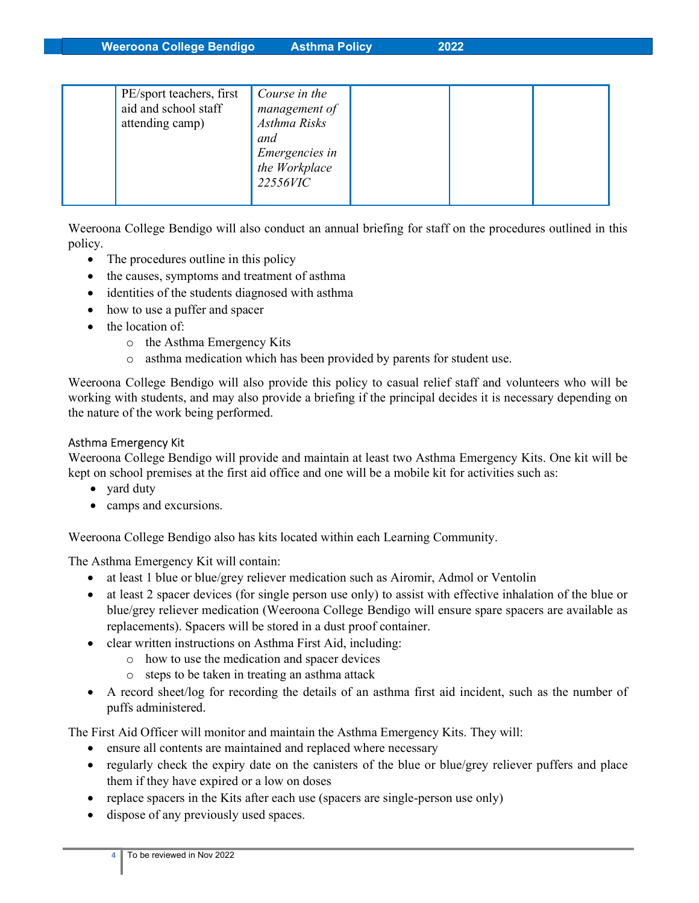Weeroona College Bendigo Asthma Policy 2022

| and<br><i>Emergencies in</i><br>the Workplace<br>22556VIC |
|-----------------------------------------------------------|
|-----------------------------------------------------------|

Weeroona College Bendigo will also conduct an annual briefing for staff on the procedures outlined in this policy.

- The procedures outline in this policy
- the causes, symptoms and treatment of asthma
- identities of the students diagnosed with asthma
- how to use a puffer and spacer
- the location of:
	- o the Asthma Emergency Kits
	- o asthma medication which has been provided by parents for student use.

Weeroona College Bendigo will also provide this policy to casual relief staff and volunteers who will be working with students, and may also provide a briefing if the principal decides it is necessary depending on the nature of the work being performed.

## Asthma Emergency Kit

Weeroona College Bendigo will provide and maintain at least two Asthma Emergency Kits. One kit will be kept on school premises at the first aid office and one will be a mobile kit for activities such as:

- yard duty
- camps and excursions.

Weeroona College Bendigo also has kits located within each Learning Community.

The Asthma Emergency Kit will contain:

- at least 1 blue or blue/grey reliever medication such as Airomir, Admol or Ventolin
- at least 2 spacer devices (for single person use only) to assist with effective inhalation of the blue or blue/grey reliever medication (Weeroona College Bendigo will ensure spare spacers are available as replacements). Spacers will be stored in a dust proof container.
- clear written instructions on Asthma First Aid, including:
	- o how to use the medication and spacer devices
	- o steps to be taken in treating an asthma attack
- A record sheet/log for recording the details of an asthma first aid incident, such as the number of puffs administered.

The First Aid Officer will monitor and maintain the Asthma Emergency Kits. They will:

- ensure all contents are maintained and replaced where necessary
- regularly check the expiry date on the canisters of the blue or blue/grey reliever puffers and place them if they have expired or a low on doses
- replace spacers in the Kits after each use (spacers are single-person use only)
- dispose of any previously used spaces.